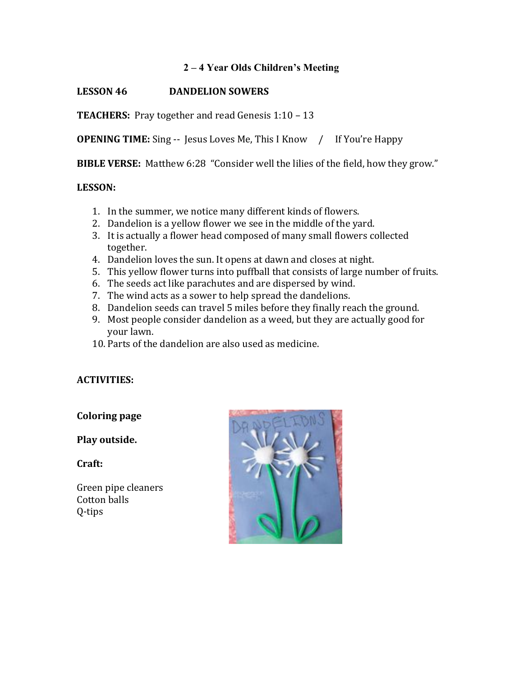## **2 – 4 Year Olds Children's Meeting**

# **LESSON 46 DANDELION SOWERS**

**TEACHERS:** Pray together and read Genesis 1:10 – 13

**OPENING TIME:** Sing -- Jesus Loves Me, This I Know / If You're Happy

**BIBLE VERSE:** Matthew 6:28 "Consider well the lilies of the field, how they grow."

#### **LESSON:**

- 1. In the summer, we notice many different kinds of flowers.
- 2. Dandelion is a yellow flower we see in the middle of the yard.
- 3. It is actually a flower head composed of many small flowers collected together.
- 4. Dandelion loves the sun. It opens at dawn and closes at night.
- 5. This yellow flower turns into puffball that consists of large number of fruits.
- 6. The seeds act like parachutes and are dispersed by wind.
- 7. The wind acts as a sower to help spread the dandelions.
- 8. Dandelion seeds can travel 5 miles before they finally reach the ground.
- 9. Most people consider dandelion as a weed, but they are actually good for vour lawn.
- 10. Parts of the dandelion are also used as medicine.

### **ACTIVITIES:**

#### **Coloring page**

### **Play outside.**

**Craft:** 

Green pipe cleaners Cotton balls Q-tips